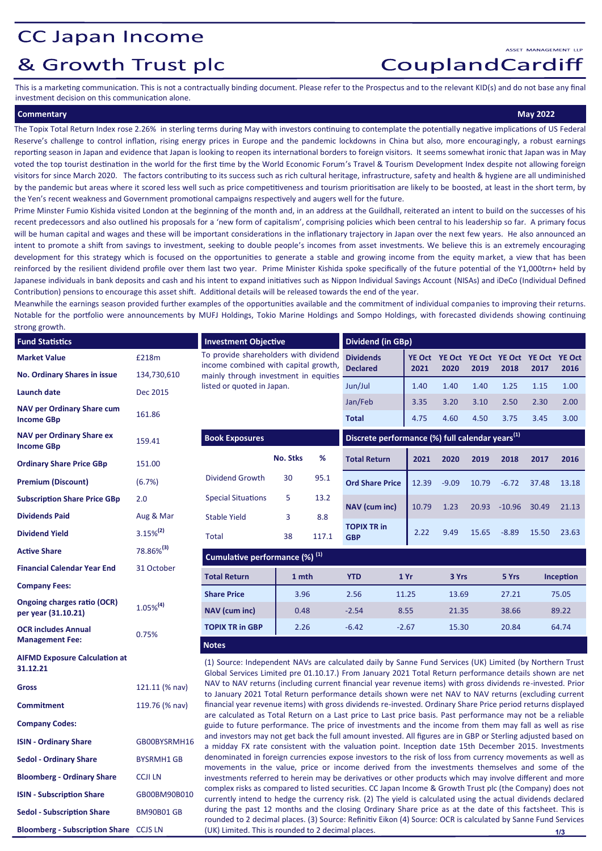## **CC Japan Income**

# & Growth Trust plc

CouplandCardiff

This is a marketing communication. This is not a contractually binding document. Please refer to the Prospectus and to the relevant KID(s) and do not base any final investment decision on this communication alone.

### **Commentary May 2022**

ASSET MANAGEMENT LLE

The Topix Total Return Index rose 2.26% in sterling terms during May with investors continuing to contemplate the potentially negative implications of US Federal Reserve's challenge to control inflation, rising energy prices in Europe and the pandemic lockdowns in China but also, more encouragingly, a robust earnings reporting season in Japan and evidence that Japan is looking to reopen its international borders to foreign visitors. It seems somewhat ironic that Japan was in May voted the top tourist destination in the world for the first time by the World Economic Forum's Travel & Tourism Development Index despite not allowing foreign visitors for since March 2020. The factors contributing to its success such as rich cultural heritage, infrastructure, safety and health & hygiene are all undiminished by the pandemic but areas where it scored less well such as price competitiveness and tourism prioritisation are likely to be boosted, at least in the short term, by the Yen's recent weakness and Government promotional campaigns respectively and augers well for the future.

Prime Minster Fumio Kishida visited London at the beginning of the month and, in an address at the Guildhall, reiterated an intent to build on the successes of his recent predecessors and also outlined his proposals for a 'new form of capitalism', comprising policies which been central to his leadership so far. A primary focus will be human capital and wages and these will be important considerations in the inflationary trajectory in Japan over the next few years. He also announced an intent to promote a shift from savings to investment, seeking to double people's incomes from asset investments. We believe this is an extremely encouraging development for this strategy which is focused on the opportunities to generate a stable and growing income from the equity market, a view that has been reinforced by the resilient dividend profile over them last two year. Prime Minister Kishida spoke specifically of the future potential of the Y1,000trn+ held by Japanese individuals in bank deposits and cash and his intent to expand initiatives such as Nippon Individual Savings Account (NISAs) and iDeCo (Individual Defined Contribution) pensions to encourage this asset shift. Additional details will be released towards the end of the year.

Meanwhile the earnings season provided further examples of the opportunities available and the commitment of individual companies to improving their returns. Notable for the portfolio were announcements by MUFJ Holdings, Tokio Marine Holdings and Sompo Holdings, with forecasted dividends showing continuing strong growth.

| . <del>.</del>                                         |                       |                                                                                                                                                                                                                                                                                                                                                                                                                                                                                                                                                                                                                                                                   |                 |                          |                                                             |               |                                                   |              |                |              |                |
|--------------------------------------------------------|-----------------------|-------------------------------------------------------------------------------------------------------------------------------------------------------------------------------------------------------------------------------------------------------------------------------------------------------------------------------------------------------------------------------------------------------------------------------------------------------------------------------------------------------------------------------------------------------------------------------------------------------------------------------------------------------------------|-----------------|--------------------------|-------------------------------------------------------------|---------------|---------------------------------------------------|--------------|----------------|--------------|----------------|
| <b>Fund Statistics</b>                                 |                       | <b>Investment Objective</b>                                                                                                                                                                                                                                                                                                                                                                                                                                                                                                                                                                                                                                       |                 | <b>Dividend (in GBp)</b> |                                                             |               |                                                   |              |                |              |                |
| <b>Market Value</b>                                    | £218m                 | To provide shareholders with dividend<br>income combined with capital growth,<br>mainly through investment in equities<br>listed or quoted in Japan.                                                                                                                                                                                                                                                                                                                                                                                                                                                                                                              |                 |                          | <b>Dividends</b><br><b>Declared</b>                         | 2021          | YE Oct YE Oct YE Oct YE Oct YE Oct YE Oct<br>2020 | 2019         | 2018           | 2017         | 2016           |
| <b>No. Ordinary Shares in issue</b>                    | 134,730,610           |                                                                                                                                                                                                                                                                                                                                                                                                                                                                                                                                                                                                                                                                   |                 |                          |                                                             |               | 1.40                                              |              |                |              | 1.00           |
| Launch date                                            | Dec 2015              |                                                                                                                                                                                                                                                                                                                                                                                                                                                                                                                                                                                                                                                                   |                 |                          | Jun/Jul                                                     | 1.40          |                                                   | 1.40         | 1.25           | 1.15         |                |
| <b>NAV per Ordinary Share cum</b><br><b>Income GBp</b> | 161.86                |                                                                                                                                                                                                                                                                                                                                                                                                                                                                                                                                                                                                                                                                   |                 |                          | Jan/Feb<br><b>Total</b>                                     | 3.35<br>4.75  | 3.20<br>4.60                                      | 3.10<br>4.50 | 2.50<br>3.75   | 2.30<br>3.45 | 2.00<br>3.00   |
| <b>NAV per Ordinary Share ex</b><br><b>Income GBp</b>  | 159.41                | <b>Book Exposures</b>                                                                                                                                                                                                                                                                                                                                                                                                                                                                                                                                                                                                                                             |                 |                          | Discrete performance (%) full calendar years <sup>(1)</sup> |               |                                                   |              |                |              |                |
| <b>Ordinary Share Price GBp</b>                        | 151.00                |                                                                                                                                                                                                                                                                                                                                                                                                                                                                                                                                                                                                                                                                   | <b>No. Stks</b> | $\%$                     | <b>Total Return</b>                                         | 2021          | 2020                                              | 2019         | 2018           | 2017         | 2016           |
| <b>Premium (Discount)</b>                              | (6.7%)                | Dividend Growth                                                                                                                                                                                                                                                                                                                                                                                                                                                                                                                                                                                                                                                   | 30              | 95.1                     | <b>Ord Share Price</b>                                      | 12.39         | $-9.09$                                           | 10.79        | $-6.72$        | 37.48        | 13.18          |
| <b>Subscription Share Price GBp</b>                    | 2.0                   | <b>Special Situations</b>                                                                                                                                                                                                                                                                                                                                                                                                                                                                                                                                                                                                                                         | 5               | 13.2                     | NAV (cum inc)                                               | 10.79         | 1.23                                              | 20.93        | $-10.96$       | 30.49        | 21.13          |
| <b>Dividends Paid</b>                                  | Aug & Mar             | <b>Stable Yield</b>                                                                                                                                                                                                                                                                                                                                                                                                                                                                                                                                                                                                                                               | 3               | 8.8                      |                                                             |               |                                                   |              |                |              |                |
| <b>Dividend Yield</b>                                  | $3.15\%^{(2)}$        | <b>Total</b>                                                                                                                                                                                                                                                                                                                                                                                                                                                                                                                                                                                                                                                      | 38              | 117.1                    | <b>TOPIX TR in</b><br><b>GBP</b>                            | 2.22          | 9.49                                              | 15.65        | $-8.89$        | 15.50        | 23.63          |
| <b>Active Share</b>                                    | 78.86% <sup>(3)</sup> | Cumulative performance (%) <sup>(1)</sup>                                                                                                                                                                                                                                                                                                                                                                                                                                                                                                                                                                                                                         |                 |                          |                                                             |               |                                                   |              |                |              |                |
| <b>Financial Calendar Year End</b>                     | 31 October            | <b>Total Return</b>                                                                                                                                                                                                                                                                                                                                                                                                                                                                                                                                                                                                                                               | 1 mth           |                          | <b>YTD</b>                                                  | 1Yr           | 3 Yrs                                             |              | 5 Yrs          |              | Inception      |
| <b>Company Fees:</b>                                   |                       |                                                                                                                                                                                                                                                                                                                                                                                                                                                                                                                                                                                                                                                                   |                 |                          |                                                             |               |                                                   |              |                |              |                |
| Ongoing charges ratio (OCR)<br>per year (31.10.21)     | $1.05\%^{(4)}$        | <b>Share Price</b><br>NAV (cum inc)                                                                                                                                                                                                                                                                                                                                                                                                                                                                                                                                                                                                                               | 3.96<br>0.48    |                          | 2.56<br>$-2.54$                                             | 11.25<br>8.55 | 13.69<br>21.35                                    |              | 27.21<br>38.66 |              | 75.05<br>89.22 |
| <b>OCR includes Annual</b><br><b>Management Fee:</b>   | 0.75%                 | <b>TOPIX TR in GBP</b>                                                                                                                                                                                                                                                                                                                                                                                                                                                                                                                                                                                                                                            | 2.26            |                          | $-6.42$                                                     | $-2.67$       | 15.30                                             |              | 20.84          | 64.74        |                |
|                                                        |                       | <b>Notes</b>                                                                                                                                                                                                                                                                                                                                                                                                                                                                                                                                                                                                                                                      |                 |                          |                                                             |               |                                                   |              |                |              |                |
| <b>AIFMD Exposure Calculation at</b><br>31.12.21       |                       | (1) Source: Independent NAVs are calculated daily by Sanne Fund Services (UK) Limited (by Northern Trust<br>Global Services Limited pre 01.10.17.) From January 2021 Total Return performance details shown are net                                                                                                                                                                                                                                                                                                                                                                                                                                               |                 |                          |                                                             |               |                                                   |              |                |              |                |
| <b>Gross</b>                                           | 121.11 (% nav)        | NAV to NAV returns (including current financial year revenue items) with gross dividends re-invested. Prior<br>to January 2021 Total Return performance details shown were net NAV to NAV returns (excluding current                                                                                                                                                                                                                                                                                                                                                                                                                                              |                 |                          |                                                             |               |                                                   |              |                |              |                |
| <b>Commitment</b>                                      | 119.76 (% nav)        | financial year revenue items) with gross dividends re-invested. Ordinary Share Price period returns displayed<br>are calculated as Total Return on a Last price to Last price basis. Past performance may not be a reliable                                                                                                                                                                                                                                                                                                                                                                                                                                       |                 |                          |                                                             |               |                                                   |              |                |              |                |
| <b>Company Codes:</b>                                  |                       | guide to future performance. The price of investments and the income from them may fall as well as rise                                                                                                                                                                                                                                                                                                                                                                                                                                                                                                                                                           |                 |                          |                                                             |               |                                                   |              |                |              |                |
| <b>ISIN - Ordinary Share</b>                           | GB00BYSRMH16          | and investors may not get back the full amount invested. All figures are in GBP or Sterling adjusted based on<br>a midday FX rate consistent with the valuation point. Inception date 15th December 2015. Investments                                                                                                                                                                                                                                                                                                                                                                                                                                             |                 |                          |                                                             |               |                                                   |              |                |              |                |
| <b>Sedol - Ordinary Share</b>                          | <b>BYSRMH1 GB</b>     | denominated in foreign currencies expose investors to the risk of loss from currency movements as well as<br>movements in the value, price or income derived from the investments themselves and some of the<br>investments referred to herein may be derivatives or other products which may involve different and more<br>complex risks as compared to listed securities. CC Japan Income & Growth Trust plc (the Company) does not<br>currently intend to hedge the currency risk. (2) The yield is calculated using the actual dividends declared<br>during the past 12 months and the closing Ordinary Share price as at the date of this factsheet. This is |                 |                          |                                                             |               |                                                   |              |                |              |                |
| <b>Bloomberg - Ordinary Share</b>                      | <b>CCJI LN</b>        |                                                                                                                                                                                                                                                                                                                                                                                                                                                                                                                                                                                                                                                                   |                 |                          |                                                             |               |                                                   |              |                |              |                |
| <b>ISIN - Subscription Share</b>                       | GB00BM90B010          |                                                                                                                                                                                                                                                                                                                                                                                                                                                                                                                                                                                                                                                                   |                 |                          |                                                             |               |                                                   |              |                |              |                |
| Sedol - Subscription Share                             | <b>RM90R01 GR</b>     |                                                                                                                                                                                                                                                                                                                                                                                                                                                                                                                                                                                                                                                                   |                 |                          |                                                             |               |                                                   |              |                |              |                |

rounded to 2 decimal places. (3) Source: Refinitiv Eikon (4) Source: OCR is calculated by Sanne Fund Services (UK) Limited. This is rounded to 2 decimal places. **Bloomberg - Subscription Share** CCJS LN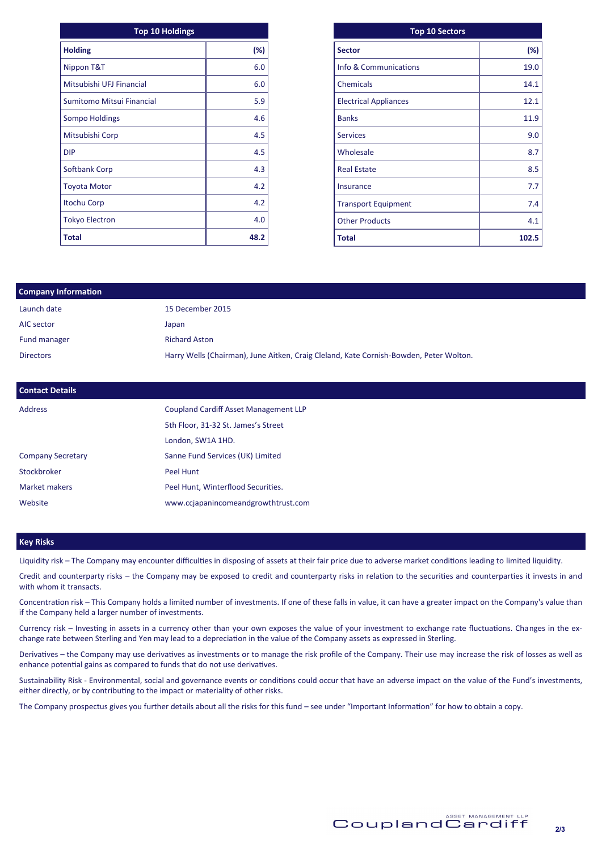| <b>Top 10 Holdings</b>    |        | <b>Top 10 Sectors</b>        |  |
|---------------------------|--------|------------------------------|--|
| <b>Holding</b>            | $(\%)$ | <b>Sector</b>                |  |
| Nippon T&T                | 6.0    | Info & Communications        |  |
| Mitsubishi UFJ Financial  | 6.0    | Chemicals                    |  |
| Sumitomo Mitsui Financial | 5.9    | <b>Electrical Appliances</b> |  |
| <b>Sompo Holdings</b>     | 4.6    | <b>Banks</b>                 |  |
| Mitsubishi Corp           | 4.5    | <b>Services</b>              |  |
| <b>DIP</b>                | 4.5    | Wholesale                    |  |
| Softbank Corp             | 4.3    | <b>Real Estate</b>           |  |
| <b>Toyota Motor</b>       | 4.2    | <b>Insurance</b>             |  |
| <b>Itochu Corp</b>        | 4.2    | <b>Transport Equipment</b>   |  |
| <b>Tokyo Electron</b>     | 4.0    | <b>Other Products</b>        |  |
| <b>Total</b>              | 48.2   | <b>Total</b>                 |  |

| <b>Top 10 Sectors</b>        |        |
|------------------------------|--------|
| <b>Sector</b>                | $(\%)$ |
| Info & Communications        | 19.0   |
| Chemicals                    | 14.1   |
| <b>Electrical Appliances</b> | 12.1   |
| <b>Banks</b>                 | 11.9   |
| <b>Services</b>              | 9.0    |
| Wholesale                    | 8.7    |
| <b>Real Estate</b>           | 8.5    |
| Insurance                    | 7.7    |
| <b>Transport Equipment</b>   | 7.4    |
| <b>Other Products</b>        | 4.1    |
| <b>Total</b>                 | 102.5  |

| <b>Company Information</b> |                                                                                        |
|----------------------------|----------------------------------------------------------------------------------------|
| Launch date                | 15 December 2015                                                                       |
| AIC sector                 | Japan                                                                                  |
| Fund manager               | <b>Richard Aston</b>                                                                   |
| <b>Directors</b>           | Harry Wells (Chairman), June Aitken, Craig Cleland, Kate Cornish-Bowden, Peter Wolton. |
|                            |                                                                                        |
|                            |                                                                                        |

| <b>Contact Details</b>   |                                              |
|--------------------------|----------------------------------------------|
| <b>Address</b>           | <b>Coupland Cardiff Asset Management LLP</b> |
|                          | 5th Floor, 31-32 St. James's Street          |
|                          | London, SW1A 1HD.                            |
| <b>Company Secretary</b> | Sanne Fund Services (UK) Limited             |
| Stockbroker              | Peel Hunt                                    |
| Market makers            | Peel Hunt, Winterflood Securities.           |
| Website                  | www.ccjapanincomeandgrowthtrust.com          |

#### **Key Risks**

Liquidity risk – The Company may encounter difficulties in disposing of assets at their fair price due to adverse market conditions leading to limited liquidity.

Credit and counterparty risks – the Company may be exposed to credit and counterparty risks in relation to the securities and counterparties it invests in and with whom it transacts.

Concentration risk – This Company holds a limited number of investments. If one of these falls in value, it can have a greater impact on the Company's value than if the Company held a larger number of investments.

Currency risk – Investing in assets in a currency other than your own exposes the value of your investment to exchange rate fluctuations. Changes in the exchange rate between Sterling and Yen may lead to a depreciation in the value of the Company assets as expressed in Sterling.

Derivatives – the Company may use derivatives as investments or to manage the risk profile of the Company. Their use may increase the risk of losses as well as enhance potential gains as compared to funds that do not use derivatives.

Sustainability Risk - Environmental, social and governance events or conditions could occur that have an adverse impact on the value of the Fund's investments, either directly, or by contributing to the impact or materiality of other risks.

The Company prospectus gives you further details about all the risks for this fund – see under "Important Information" for how to obtain a copy.